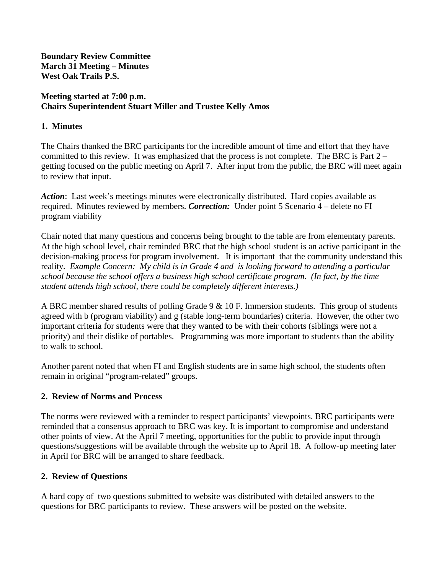**Boundary Review Committee March 31 Meeting – Minutes West Oak Trails P.S.** 

## **Meeting started at 7:00 p.m. Chairs Superintendent Stuart Miller and Trustee Kelly Amos**

## **1. Minutes**

The Chairs thanked the BRC participants for the incredible amount of time and effort that they have committed to this review. It was emphasized that the process is not complete. The BRC is Part 2 – getting focused on the public meeting on April 7. After input from the public, the BRC will meet again to review that input.

*Action*: Last week's meetings minutes were electronically distributed. Hard copies available as required. Minutes reviewed by members. *Correction:* Under point 5 Scenario 4 – delete no FI program viability

Chair noted that many questions and concerns being brought to the table are from elementary parents. At the high school level, chair reminded BRC that the high school student is an active participant in the decision-making process for program involvement. It is important that the community understand this reality*. Example Concern: My child is in Grade 4 and is looking forward to attending a particular school because the school offers a business high school certificate program. (In fact, by the time student attends high school, there could be completely different interests.)* 

A BRC member shared results of polling Grade 9 & 10 F. Immersion students. This group of students agreed with b (program viability) and g (stable long-term boundaries) criteria. However, the other two important criteria for students were that they wanted to be with their cohorts (siblings were not a priority) and their dislike of portables. Programming was more important to students than the ability to walk to school.

Another parent noted that when FI and English students are in same high school, the students often remain in original "program-related" groups.

# **2. Review of Norms and Process**

The norms were reviewed with a reminder to respect participants' viewpoints. BRC participants were reminded that a consensus approach to BRC was key. It is important to compromise and understand other points of view. At the April 7 meeting, opportunities for the public to provide input through questions/suggestions will be available through the website up to April 18. A follow-up meeting later in April for BRC will be arranged to share feedback.

# **2. Review of Questions**

A hard copy of two questions submitted to website was distributed with detailed answers to the questions for BRC participants to review. These answers will be posted on the website.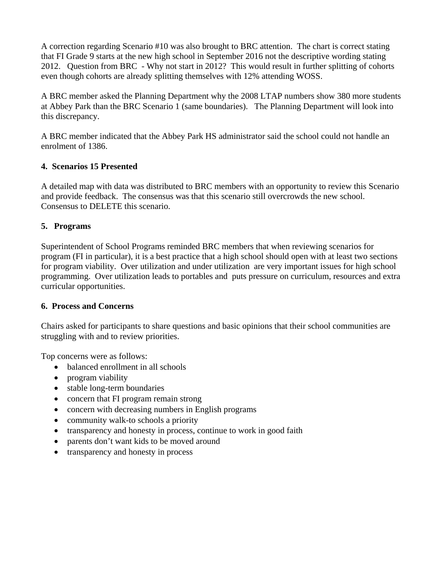A correction regarding Scenario #10 was also brought to BRC attention. The chart is correct stating that FI Grade 9 starts at the new high school in September 2016 not the descriptive wording stating 2012. Question from BRC - Why not start in 2012? This would result in further splitting of cohorts even though cohorts are already splitting themselves with 12% attending WOSS.

A BRC member asked the Planning Department why the 2008 LTAP numbers show 380 more students at Abbey Park than the BRC Scenario 1 (same boundaries). The Planning Department will look into this discrepancy.

A BRC member indicated that the Abbey Park HS administrator said the school could not handle an enrolment of 1386.

## **4. Scenarios 15 Presented**

A detailed map with data was distributed to BRC members with an opportunity to review this Scenario and provide feedback. The consensus was that this scenario still overcrowds the new school. Consensus to DELETE this scenario.

## **5. Programs**

Superintendent of School Programs reminded BRC members that when reviewing scenarios for program (FI in particular), it is a best practice that a high school should open with at least two sections for program viability. Over utilization and under utilization are very important issues for high school programming. Over utilization leads to portables and puts pressure on curriculum, resources and extra curricular opportunities.

## **6. Process and Concerns**

Chairs asked for participants to share questions and basic opinions that their school communities are struggling with and to review priorities.

Top concerns were as follows:

- balanced enrollment in all schools
- program viability
- stable long-term boundaries
- concern that FI program remain strong
- concern with decreasing numbers in English programs
- community walk-to schools a priority
- transparency and honesty in process, continue to work in good faith
- parents don't want kids to be moved around
- transparency and honesty in process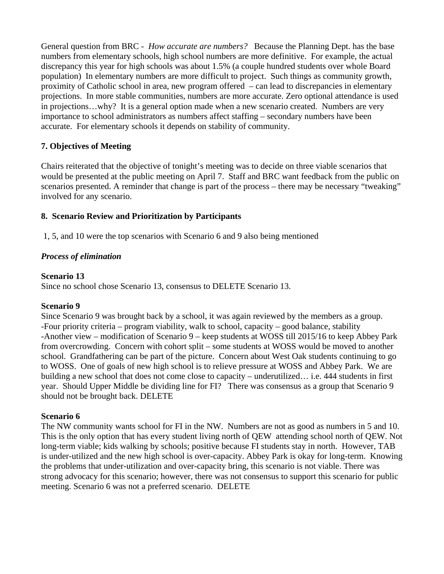General question from BRC - *How accurate are numbers?* Because the Planning Dept. has the base numbers from elementary schools, high school numbers are more definitive. For example, the actual discrepancy this year for high schools was about 1.5% (a couple hundred students over whole Board population) In elementary numbers are more difficult to project. Such things as community growth, proximity of Catholic school in area, new program offered – can lead to discrepancies in elementary projections. In more stable communities, numbers are more accurate. Zero optional attendance is used in projections…why? It is a general option made when a new scenario created. Numbers are very importance to school administrators as numbers affect staffing – secondary numbers have been accurate. For elementary schools it depends on stability of community.

## **7. Objectives of Meeting**

Chairs reiterated that the objective of tonight's meeting was to decide on three viable scenarios that would be presented at the public meeting on April 7. Staff and BRC want feedback from the public on scenarios presented. A reminder that change is part of the process – there may be necessary "tweaking" involved for any scenario.

### **8. Scenario Review and Prioritization by Participants**

1, 5, and 10 were the top scenarios with Scenario 6 and 9 also being mentioned

### *Process of elimination*

#### **Scenario 13**

Since no school chose Scenario 13, consensus to DELETE Scenario 13.

#### **Scenario 9**

Since Scenario 9 was brought back by a school, it was again reviewed by the members as a group. -Four priority criteria – program viability, walk to school, capacity – good balance, stability -Another view – modification of Scenario 9 – keep students at WOSS till 2015/16 to keep Abbey Park from overcrowding. Concern with cohort split – some students at WOSS would be moved to another school. Grandfathering can be part of the picture. Concern about West Oak students continuing to go to WOSS. One of goals of new high school is to relieve pressure at WOSS and Abbey Park. We are building a new school that does not come close to capacity – underutilized… i.e. 444 students in first year. Should Upper Middle be dividing line for FI? There was consensus as a group that Scenario 9 should not be brought back. DELETE

#### **Scenario 6**

The NW community wants school for FI in the NW. Numbers are not as good as numbers in 5 and 10. This is the only option that has every student living north of QEW attending school north of QEW. Not long-term viable; kids walking by schools; positive because FI students stay in north. However, TAB is under-utilized and the new high school is over-capacity. Abbey Park is okay for long-term. Knowing the problems that under-utilization and over-capacity bring, this scenario is not viable. There was strong advocacy for this scenario; however, there was not consensus to support this scenario for public meeting. Scenario 6 was not a preferred scenario. DELETE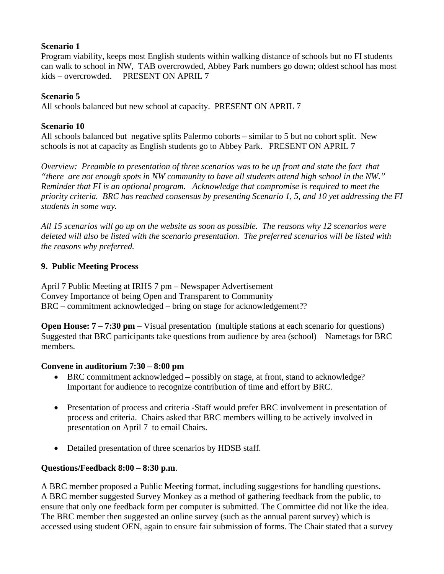## **Scenario 1**

Program viability, keeps most English students within walking distance of schools but no FI students can walk to school in NW, TAB overcrowded, Abbey Park numbers go down; oldest school has most kids – overcrowded. PRESENT ON APRIL 7

## **Scenario 5**

All schools balanced but new school at capacity. PRESENT ON APRIL 7

## **Scenario 10**

All schools balanced but negative splits Palermo cohorts – similar to 5 but no cohort split. New schools is not at capacity as English students go to Abbey Park. PRESENT ON APRIL 7

*Overview: Preamble to presentation of three scenarios was to be up front and state the fact that "there are not enough spots in NW community to have all students attend high school in the NW." Reminder that FI is an optional program. Acknowledge that compromise is required to meet the priority criteria. BRC has reached consensus by presenting Scenario 1, 5, and 10 yet addressing the FI students in some way.* 

*All 15 scenarios will go up on the website as soon as possible. The reasons why 12 scenarios were deleted will also be listed with the scenario presentation. The preferred scenarios will be listed with the reasons why preferred.* 

## **9. Public Meeting Process**

April 7 Public Meeting at IRHS 7 pm – Newspaper Advertisement Convey Importance of being Open and Transparent to Community BRC – commitment acknowledged – bring on stage for acknowledgement??

**Open House: 7 – 7:30 pm** – Visual presentation (multiple stations at each scenario for questions) Suggested that BRC participants take questions from audience by area (school) Nametags for BRC members.

## **Convene in auditorium 7:30 – 8:00 pm**

- BRC commitment acknowledged possibly on stage, at front, stand to acknowledge? Important for audience to recognize contribution of time and effort by BRC.
- Presentation of process and criteria -Staff would prefer BRC involvement in presentation of process and criteria. Chairs asked that BRC members willing to be actively involved in presentation on April 7 to email Chairs.
- Detailed presentation of three scenarios by HDSB staff.

# **Questions/Feedback 8:00 – 8:30 p.m**.

A BRC member proposed a Public Meeting format, including suggestions for handling questions. A BRC member suggested Survey Monkey as a method of gathering feedback from the public, to ensure that only one feedback form per computer is submitted. The Committee did not like the idea. The BRC member then suggested an online survey (such as the annual parent survey) which is accessed using student OEN, again to ensure fair submission of forms. The Chair stated that a survey